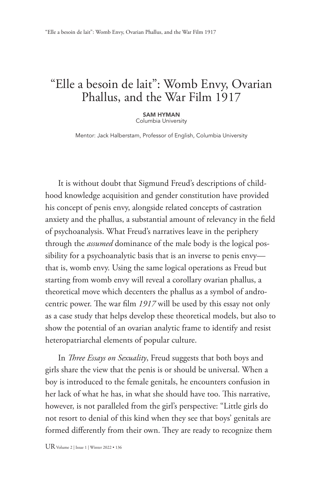## "Elle a besoin de lait": Womb Envy, Ovarian Phallus, and the War Film 1917

SAM HYMAN Columbia University

Mentor: Jack Halberstam, Professor of English, Columbia University

It is without doubt that Sigmund Freud's descriptions of childhood knowledge acquisition and gender constitution have provided his concept of penis envy, alongside related concepts of castration anxiety and the phallus, a substantial amount of relevancy in the field of psychoanalysis. What Freud's narratives leave in the periphery through the *assumed* dominance of the male body is the logical possibility for a psychoanalytic basis that is an inverse to penis envy that is, womb envy. Using the same logical operations as Freud but starting from womb envy will reveal a corollary ovarian phallus, a theoretical move which decenters the phallus as a symbol of androcentric power. The war film *1917* will be used by this essay not only as a case study that helps develop these theoretical models, but also to show the potential of an ovarian analytic frame to identify and resist heteropatriarchal elements of popular culture.

In *Three Essays on Sexuality*, Freud suggests that both boys and girls share the view that the penis is or should be universal. When a boy is introduced to the female genitals, he encounters confusion in her lack of what he has, in what she should have too. This narrative, however, is not paralleled from the girl's perspective: "Little girls do not resort to denial of this kind when they see that boys' genitals are formed differently from their own. They are ready to recognize them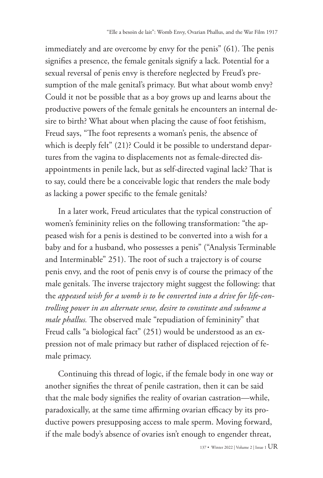immediately and are overcome by envy for the penis" (61). The penis signifies a presence, the female genitals signify a lack. Potential for a sexual reversal of penis envy is therefore neglected by Freud's presumption of the male genital's primacy. But what about womb envy? Could it not be possible that as a boy grows up and learns about the productive powers of the female genitals he encounters an internal desire to birth? What about when placing the cause of foot fetishism, Freud says, "The foot represents a woman's penis, the absence of which is deeply felt" (21)? Could it be possible to understand departures from the vagina to displacements not as female-directed disappointments in penile lack, but as self-directed vaginal lack? That is to say, could there be a conceivable logic that renders the male body as lacking a power specific to the female genitals?

In a later work, Freud articulates that the typical construction of women's femininity relies on the following transformation: "the appeased wish for a penis is destined to be converted into a wish for a baby and for a husband, who possesses a penis" ("Analysis Terminable and Interminable" 251). The root of such a trajectory is of course penis envy, and the root of penis envy is of course the primacy of the male genitals. The inverse trajectory might suggest the following: that the *appeased wish for a womb is to be converted into a drive for life-controlling power in an alternate sense, desire to constitute and subsume a male phallus.* The observed male "repudiation of femininity" that Freud calls "a biological fact" (251) would be understood as an expression not of male primacy but rather of displaced rejection of female primacy.

Continuing this thread of logic, if the female body in one way or another signifies the threat of penile castration, then it can be said that the male body signifies the reality of ovarian castration—while, paradoxically, at the same time affirming ovarian efficacy by its productive powers presupposing access to male sperm. Moving forward, if the male body's absence of ovaries isn't enough to engender threat,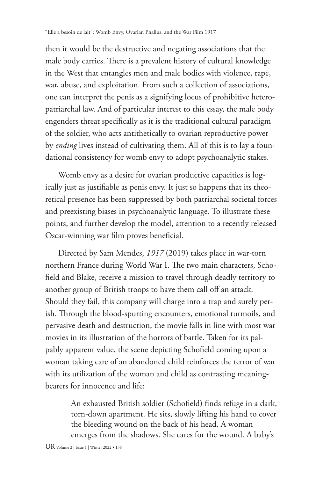then it would be the destructive and negating associations that the male body carries. There is a prevalent history of cultural knowledge in the West that entangles men and male bodies with violence, rape, war, abuse, and exploitation. From such a collection of associations, one can interpret the penis as a signifying locus of prohibitive heteropatriarchal law. And of particular interest to this essay, the male body engenders threat specifically as it is the traditional cultural paradigm of the soldier, who acts antithetically to ovarian reproductive power by *ending* lives instead of cultivating them. All of this is to lay a foundational consistency for womb envy to adopt psychoanalytic stakes.

Womb envy as a desire for ovarian productive capacities is logically just as justifiable as penis envy. It just so happens that its theoretical presence has been suppressed by both patriarchal societal forces and preexisting biases in psychoanalytic language. To illustrate these points, and further develop the model, attention to a recently released Oscar-winning war film proves beneficial.

Directed by Sam Mendes, *1917* (2019) takes place in war-torn northern France during World War I. The two main characters, Schofield and Blake, receive a mission to travel through deadly territory to another group of British troops to have them call off an attack. Should they fail, this company will charge into a trap and surely perish. Through the blood-spurting encounters, emotional turmoils, and pervasive death and destruction, the movie falls in line with most war movies in its illustration of the horrors of battle. Taken for its palpably apparent value, the scene depicting Schofield coming upon a woman taking care of an abandoned child reinforces the terror of war with its utilization of the woman and child as contrasting meaningbearers for innocence and life:

> An exhausted British soldier (Schofield) finds refuge in a dark, torn-down apartment. He sits, slowly lifting his hand to cover the bleeding wound on the back of his head. A woman emerges from the shadows. She cares for the wound. A baby's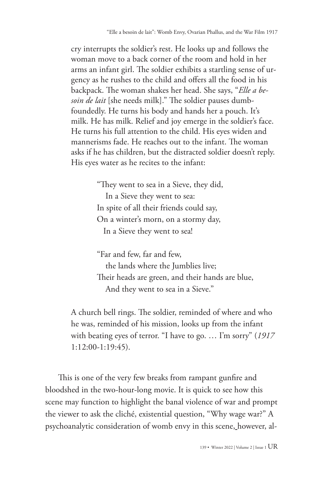cry interrupts the soldier's rest. He looks up and follows the woman move to a back corner of the room and hold in her arms an infant girl. The soldier exhibits a startling sense of urgency as he rushes to the child and offers all the food in his backpack. The woman shakes her head. She says, "*Elle a besoin de lait* [she needs milk]." The soldier pauses dumbfoundedly. He turns his body and hands her a pouch. It's milk. He has milk. Relief and joy emerge in the soldier's face. He turns his full attention to the child. His eyes widen and mannerisms fade. He reaches out to the infant. The woman asks if he has children, but the distracted soldier doesn't reply. His eyes water as he recites to the infant:

> "They went to sea in a Sieve, they did, In a Sieve they went to sea: In spite of all their friends could say, On a winter's morn, on a stormy day, In a Sieve they went to sea!

"Far and few, far and few, the lands where the Jumblies live; Their heads are green, and their hands are blue, And they went to sea in a Sieve."

A church bell rings. The soldier, reminded of where and who he was, reminded of his mission, looks up from the infant with beating eyes of terror. "I have to go. … I'm sorry" (*1917* 1:12:00-1:19:45).

This is one of the very few breaks from rampant gunfire and bloodshed in the two-hour-long movie. It is quick to see how this scene may function to highlight the banal violence of war and prompt the viewer to ask the cliché, existential question, "Why wage war?" A psychoanalytic consideration of womb envy in this scene, however, al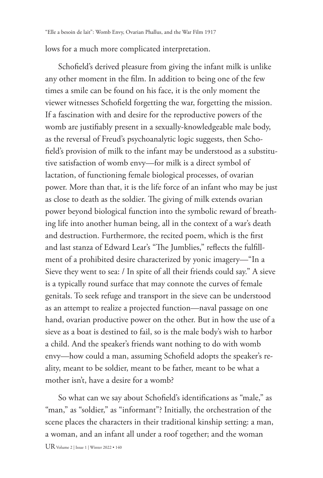lows for a much more complicated interpretation.

Schofield's derived pleasure from giving the infant milk is unlike any other moment in the film. In addition to being one of the few times a smile can be found on his face, it is the only moment the viewer witnesses Schofield forgetting the war, forgetting the mission. If a fascination with and desire for the reproductive powers of the womb are justifiably present in a sexually-knowledgeable male body, as the reversal of Freud's psychoanalytic logic suggests, then Schofield's provision of milk to the infant may be understood as a substitutive satisfaction of womb envy—for milk is a direct symbol of lactation, of functioning female biological processes, of ovarian power. More than that, it is the life force of an infant who may be just as close to death as the soldier. The giving of milk extends ovarian power beyond biological function into the symbolic reward of breathing life into another human being, all in the context of a war's death and destruction. Furthermore, the recited poem, which is the first and last stanza of Edward Lear's "The Jumblies," reflects the fulfillment of a prohibited desire characterized by yonic imagery—"In a Sieve they went to sea: / In spite of all their friends could say." A sieve is a typically round surface that may connote the curves of female genitals. To seek refuge and transport in the sieve can be understood as an attempt to realize a projected function—naval passage on one hand, ovarian productive power on the other. But in how the use of a sieve as a boat is destined to fail, so is the male body's wish to harbor a child. And the speaker's friends want nothing to do with womb envy—how could a man, assuming Schofield adopts the speaker's reality, meant to be soldier, meant to be father, meant to be what a mother isn't, have a desire for a womb?

So what can we say about Schofield's identifications as "male," as "man," as "soldier," as "informant"? Initially, the orchestration of the scene places the characters in their traditional kinship setting: a man, a woman, and an infant all under a roof together; and the woman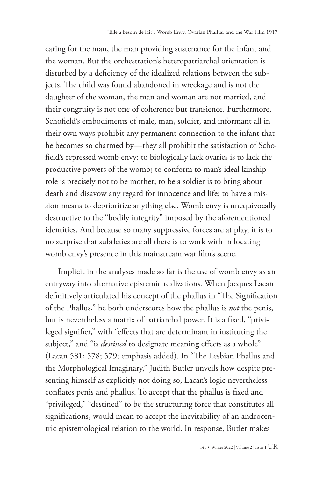caring for the man, the man providing sustenance for the infant and the woman. But the orchestration's heteropatriarchal orientation is disturbed by a deficiency of the idealized relations between the subjects. The child was found abandoned in wreckage and is not the daughter of the woman, the man and woman are not married, and their congruity is not one of coherence but transience. Furthermore, Schofield's embodiments of male, man, soldier, and informant all in their own ways prohibit any permanent connection to the infant that he becomes so charmed by—they all prohibit the satisfaction of Schofield's repressed womb envy: to biologically lack ovaries is to lack the productive powers of the womb; to conform to man's ideal kinship role is precisely not to be mother; to be a soldier is to bring about death and disavow any regard for innocence and life; to have a mission means to deprioritize anything else. Womb envy is unequivocally destructive to the "bodily integrity" imposed by the aforementioned identities. And because so many suppressive forces are at play, it is to no surprise that subtleties are all there is to work with in locating womb envy's presence in this mainstream war film's scene.

Implicit in the analyses made so far is the use of womb envy as an entryway into alternative epistemic realizations. When Jacques Lacan definitively articulated his concept of the phallus in "The Signification of the Phallus," he both underscores how the phallus is *not* the penis, but is nevertheless a matrix of patriarchal power. It is a fixed, "privileged signifier," with "effects that are determinant in instituting the subject," and "is *destined* to designate meaning effects as a whole" (Lacan 581; 578; 579; emphasis added). In "The Lesbian Phallus and the Morphological Imaginary," Judith Butler unveils how despite presenting himself as explicitly not doing so, Lacan's logic nevertheless conflates penis and phallus. To accept that the phallus is fixed and "privileged," "destined" to be the structuring force that constitutes all significations, would mean to accept the inevitability of an androcentric epistemological relation to the world. In response, Butler makes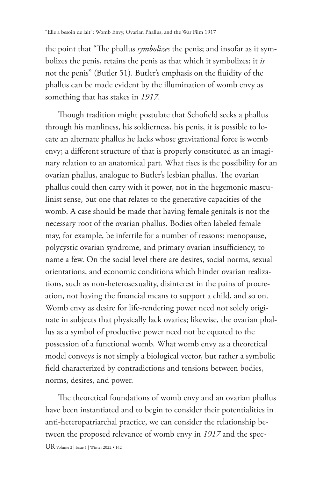the point that "The phallus *symbolizes* the penis; and insofar as it symbolizes the penis, retains the penis as that which it symbolizes; it *is* not the penis" (Butler 51). Butler's emphasis on the fluidity of the phallus can be made evident by the illumination of womb envy as something that has stakes in *1917*.

Though tradition might postulate that Schofield seeks a phallus through his manliness, his soldierness, his penis, it is possible to locate an alternate phallus he lacks whose gravitational force is womb envy; a different structure of that is properly constituted as an imaginary relation to an anatomical part. What rises is the possibility for an ovarian phallus, analogue to Butler's lesbian phallus. The ovarian phallus could then carry with it power, not in the hegemonic masculinist sense, but one that relates to the generative capacities of the womb. A case should be made that having female genitals is not the necessary root of the ovarian phallus. Bodies often labeled female may, for example, be infertile for a number of reasons: menopause, polycystic ovarian syndrome, and primary ovarian insufficiency, to name a few. On the social level there are desires, social norms, sexual orientations, and economic conditions which hinder ovarian realizations, such as non-heterosexuality, disinterest in the pains of procreation, not having the financial means to support a child, and so on. Womb envy as desire for life-rendering power need not solely originate in subjects that physically lack ovaries; likewise, the ovarian phallus as a symbol of productive power need not be equated to the possession of a functional womb. What womb envy as a theoretical model conveys is not simply a biological vector, but rather a symbolic field characterized by contradictions and tensions between bodies, norms, desires, and power.

The theoretical foundations of womb envy and an ovarian phallus have been instantiated and to begin to consider their potentialities in anti-heteropatriarchal practice, we can consider the relationship between the proposed relevance of womb envy in *1917* and the spec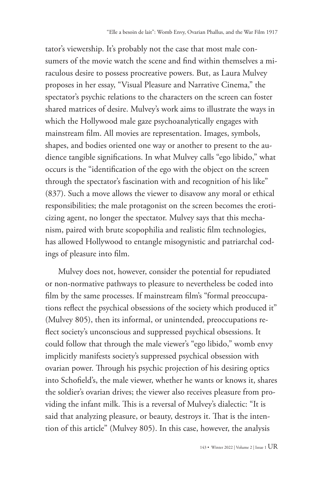tator's viewership. It's probably not the case that most male consumers of the movie watch the scene and find within themselves a miraculous desire to possess procreative powers. But, as Laura Mulvey proposes in her essay, "Visual Pleasure and Narrative Cinema," the spectator's psychic relations to the characters on the screen can foster shared matrices of desire. Mulvey's work aims to illustrate the ways in which the Hollywood male gaze psychoanalytically engages with mainstream film. All movies are representation. Images, symbols, shapes, and bodies oriented one way or another to present to the audience tangible significations. In what Mulvey calls "ego libido," what occurs is the "identification of the ego with the object on the screen through the spectator's fascination with and recognition of his like" (837). Such a move allows the viewer to disavow any moral or ethical responsibilities; the male protagonist on the screen becomes the eroticizing agent, no longer the spectator. Mulvey says that this mechanism, paired with brute scopophilia and realistic film technologies, has allowed Hollywood to entangle misogynistic and patriarchal codings of pleasure into film.

Mulvey does not, however, consider the potential for repudiated or non-normative pathways to pleasure to nevertheless be coded into film by the same processes. If mainstream film's "formal preoccupations reflect the psychical obsessions of the society which produced it" (Mulvey 805), then its informal, or unintended, preoccupations reflect society's unconscious and suppressed psychical obsessions. It could follow that through the male viewer's "ego libido," womb envy implicitly manifests society's suppressed psychical obsession with ovarian power. Through his psychic projection of his desiring optics into Schofield's, the male viewer, whether he wants or knows it, shares the soldier's ovarian drives; the viewer also receives pleasure from providing the infant milk. This is a reversal of Mulvey's dialectic: "It is said that analyzing pleasure, or beauty, destroys it. That is the intention of this article" (Mulvey 805). In this case, however, the analysis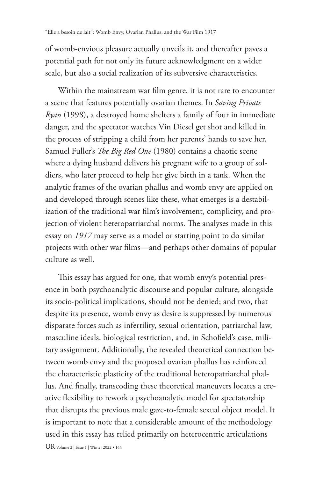of womb-envious pleasure actually unveils it, and thereafter paves a potential path for not only its future acknowledgment on a wider scale, but also a social realization of its subversive characteristics.

Within the mainstream war film genre, it is not rare to encounter a scene that features potentially ovarian themes. In *Saving Private Ryan* (1998), a destroyed home shelters a family of four in immediate danger, and the spectator watches Vin Diesel get shot and killed in the process of stripping a child from her parents' hands to save her. Samuel Fuller's *The Big Red One* (1980) contains a chaotic scene where a dying husband delivers his pregnant wife to a group of soldiers, who later proceed to help her give birth in a tank. When the analytic frames of the ovarian phallus and womb envy are applied on and developed through scenes like these, what emerges is a destabilization of the traditional war film's involvement, complicity, and projection of violent heteropatriarchal norms. The analyses made in this essay on *1917* may serve as a model or starting point to do similar projects with other war films—and perhaps other domains of popular culture as well.

This essay has argued for one, that womb envy's potential presence in both psychoanalytic discourse and popular culture, alongside its socio-political implications, should not be denied; and two, that despite its presence, womb envy as desire is suppressed by numerous disparate forces such as infertility, sexual orientation, patriarchal law, masculine ideals, biological restriction, and, in Schofield's case, military assignment. Additionally, the revealed theoretical connection between womb envy and the proposed ovarian phallus has reinforced the characteristic plasticity of the traditional heteropatriarchal phallus. And finally, transcoding these theoretical maneuvers locates a creative flexibility to rework a psychoanalytic model for spectatorship that disrupts the previous male gaze-to-female sexual object model. It is important to note that a considerable amount of the methodology used in this essay has relied primarily on heterocentric articulations